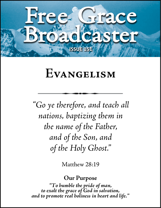

# **Evangelism**

*"Go ye therefore, and teach all nations, baptizing them in the name of the Father, and of the Son, and of the Holy Ghost."*

Matthew 28:19

# **Our Purpose**

*"To humble the pride of man, to exalt the grace of God in salvation, and to promote real holiness in heart and life."*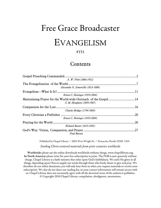# Free Grace Broadcaster

# EVANGELISM

### #151

# Contents

| Gospel Preaching Commanded          |     |
|-------------------------------------|-----|
| A. W. Pink (1886-1952)              |     |
| The Evangelization of the World.    |     |
| Alexander N. Somerville (1813-1889) |     |
|                                     |     |
| Ernest C. Reisinger (1919-2004)     |     |
|                                     |     |
| S. M. Houghton (1899-1987)          |     |
|                                     | .16 |
| Charles Bridges (1794-1869)         |     |
|                                     | .20 |
| Ernest C. Reisinger (1919-2004)     |     |
|                                     | .26 |
| <b>Richard Baxter (1615-1691)</b>   |     |
| <b>Paul Bassett</b>                 | .27 |

Published by Chapel Library • 2603 West Wright St. • Pensacola, Florida 32505 USA

*Sending Christ-centered materials from prior centuries worldwide*

<span id="page-1-0"></span>**Worldwide:** please use the online downloads worldwide without charge[, www.chapellibrary.org.](http://www.chapellibrary.org/) **In North America:** please write for your free subscription in print. The FGB is sent quarterly without charge. Chapel Library is a faith ministry that relies upon God's faithfulness. We seek His glory in all things, depending upon Him to supply our needs through those who freely desire to give and pray. We therefore do not solicit donations; you will only hear from us when you request materials or receive your subscription. We also do not share our mailing list, so your contact information will remain secure with us. Chapel Library does not necessarily agree with all the doctrinal views of the authors it publishes. © Copyright 2010 Chapel Library: compilation, abridgment, annotations.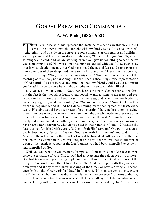# **GOSPEL PREACHING COMMANDED**

**A. W. Pink (1886-1952)**

**HERE** are those who misrepresent the doctrine of election in this way: Here I am sitting down at my table tonight with my family to tea. It is a cold winter's night, and outside on the street are some hungry starving tramps and children, **ALLERT** are those who misrepresent the doctrine of election in this way: Here I am sitting down at my table tonight with my family to tea. It is a cold winter's night, and outside on the street are some hungry starving tr so hungry and cold, and we are starving: won't you give us something to eat?" "Give you something to eat? No, you do not belong here, get off with you." Now people say that is what election means, that God has spread the gospel feast and some poor sinners conscious of their deep need come to the Lord and say, "Have mercy upon me," and the Lord says, "No, you are not among My elect." Now, my friends, that is not the teaching of this Book, nor anything like that. That is absolutely a false representation of God's truth. I do not believe anything like that, my friends, and I would not insult you by asking you to come here night by night and listen to anything like that.

1. COMPEL THEM TO COME IN. Now, then, here is the truth. God has spread the feast, but the fact is that nobody is hungry, and nobody wants to come to the feast, and everybody makes an excuse to keep away from the feast, and when they are bidden to come they say, "No, we do not want to," or "We are not ready yet." Now God knew that from the beginning, and if God had done nothing more than spread the feast, every seat at His table would have been vacant for all eternity! I have no hesitation in saying, there is not one man or woman in this church tonight but who made excuses time after time before you first came to Christ. You are just like the rest. You made excuses, so did I, and if God had done nothing more than just spread the feast, every chair would have been vacant; therefore, what do you read in that parable in Luke 14? Because the feast was not furnished with guests, God sent forth His "servants." Oh, put your glasses on. It does not say "servants," it says God sent forth His "servant" and told Him to "compel" them to come in that His feast might be furnished with guests. And there is not a man or a woman in this church tonight or in any other church that would ever sit down at the marriage-supper of the Lamb unless you had been compelled to come in, and compelled by God.

Well, you say, what do you mean by 'compelled?' I mean this, that God had to overcome the resistance of your WILL, God had to overcome the reluctance of your heart, God had to overcome your loving of pleasure more than loving of God, your love of the things of this world more than Christ. I mean that God had to put forth His power and draw you; and if any of you know anything of the Greek or have a Strong's Concordance, look up that Greek verb for "draw" in John 6:44, "No man can come to me, except the Father which hath sent me draw him." It means "use violence." It means to drag by force. There is not a Greek scholar on earth that can challenge that statement—I mean, and back it up with proof. It is the same Greek word that is used in John 21 when they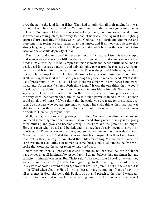drew the net to the land full of fishes. They had to pull with all their might, for it was full of fishes. They had to DRAG it. Yes, my friend, and that is how you were brought to Christ. You may not have been conscious of it, you may not have known inside yourself what was taking place, but every last one of us was a rebel against God, fighting against Christ, resisting His Holy Spirit, and God had to put forth almighty power and overcome that resistance and bring us to our knees; and if any of you object to that strong language, then I am here to tell you, you do not believe in the teaching of this Book on the absolute depravity of man.

Man is lost, and man is dead in trespasses and sin by nature. Listen, it is not simply that man is sick and needs a little medicine; it is not simply that man is ignorant and needs a little teaching; it is not simply that man is weak and needs a little hope: man is dead, dead in trespasses and sin, and only almighty power from heaven can ever resurrect him and bring him from death unto life. That is the gospel I believe in, and I do not preach the gospel because I believe the sinner has power in himself to respond to it. Well, you say, then what is the use of preaching the gospel if men are dead? What is the use of preaching it? I will tell you. Listen! Here was a man with a withered hand, paralyzed, and Christ says, "Stretch forth thine hand." It was the one thing that he could not do! Christ told him to do a thing that was impossible in himself. Well then, you say, why did Christ tell him to stretch forth his hand? Because divine power went with the very word that commanded him to do it! divine power enabled him to. The man could not do it of himself. If you think that he could, you are ready for the lunatic asylum, I do not care who you are. Any man or woman here who thinks that that man was able to stretch forth his paralyzed arm by an effort of his own will is ready for the lunatic asylum! How can paralysis move?

Well, I will give you something stronger than that. You need something strong today, you need something more than skim-milk; you need strong meat if ever you are going to be built up and grow and become strong in the Lord and the power of His might. Here is a man who is dead and buried, and his body has already begun to corrupt so that it stank. There he was in the grave, and Someone came to that graveside and said, "Lazarus, come forth." And if that someone had been anyone less than God Himself, manifest in flesh, he might have stood there till now calling, "Come forth." What on earth was the use of telling a dead man to come forth? None at all, unless the One Who spoke that word had the power to make that word good.

Now then my friends, I preach the gospel to sinners, not because I believe the sinner has any power at all in himself to respond to it: I do not believe that any sinner has any capacity in himself whatever. But Christ said, "The words that I speak unto you, they are spirit and they are life," and by God's grace I go forth preaching this Word because it is a word of power, a word of spirit, a word of life. The power is not in the sinner, it is in the Word when God the Holy Spirit is pleased to use it. And, my friends, I say it in all reverence; if God told me in this Book to go out and preach to the trees, I would go! Yes sir. God once told one of His servants to go and preach to bones and he went. I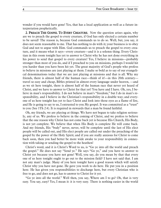wonder if you would have gone! Yes, that has a local application as well as a future interpretation prophetically.

2. PREACH THE GOSPEL TO EVERY CREATURE. Now the question arises again, why are we to preach the gospel to every creature, if God has only elected a certain number to be saved? The reason is, because God commands us to do so. Well, but, you say, it does not seem reasonable to me. That has nothing to do with it; your business is to obey God and not to argue with Him. God commands us to preach the gospel to every creature, and it means what it says—every creature—and it is a solemn thing. Every Christian in this room tonight has yet to answer to Christ why he has not done everything in his power to send that gospel to every creature! Yes, I believe in missions—probably stronger than most of you do, and if I preached to you on missions, perhaps I would hit you harder than you have been hit yet. The great majority of God's people who profess to believe in missions are just playing at them. I make so bold as to say of our evangelical denominations today that we are just playing at missions and that is all. Why my friends, there is almost half of the human race—think of it!—in this 20th century travel so easy and cheap, Bibles printed in almost every language under heaven, —and as we sit here tonight, there is almost half of the human race that never yet heard of Christ, and we have to answer to Christ for that yet! You have and I have. Oh, yes, I believe in man's responsibility. I do not believe in man's "freedom," but I do in man's responsibility, and I believe in the Christian's responsibility in a double way; and everyone of us here tonight has yet to face Christ and look into those eyes as a flame of fire, and He is going to say to us, I entrusted to you My gospel. It was committed as a "trust" to you (See 1Th 2:4). It is required in stewards that a man be found faithful.

Oh, my friends, we are playing at things. We have not begun to take religion seriously, any of us. We profess to believe in the coming of Christ, and we profess to believe that the one reason why Christ has not come back yet is because His Church, His Body, is not yet complete. We believe that when His Body is complete He will come back. And my friends, His "body" never, never, will be complete until the last of His elect people will be called out, and His elect people are called out under the preaching of the gospel by the power of the Holy Spirit; and if you are really anxious for Christ to come back soon, then you had better be more wide awake to your responsibility in connection with taking or sending the gospel to the heathen!

Christ's word, and it is Christ's Word to us, is "Go ye into all the world and preach the gospel." He does not say "Send ye." He says "Go ye," and you have to answer to Christ yet because you have not gone! Well, you say, do you mean by that that every one of us here tonight ought to go out to the mission field? I have not said that. I am not any man's judge. Many of you here tonight have a good reason which will satisfy Christ why you have not gone. He gave you work to do here. He put you in a position here. He has given you responsibilities to discharge here, but every Christian who is free to go, and does not go, has to answer to Christ for it yet.

"Go ye into all the world." Well then, you say, Where am I to go? Oh, that is very easy. You say, easy? Yes, I mean it: it is very easy. There is nothing easier in the world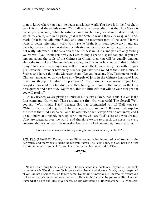\_\_\_\_\_\_\_\_\_\_\_\_\_\_\_\_\_\_\_\_\_\_\_

than to know where you ought to begin missionary work. You have it in the first chapter of Acts and the eighth verse: "Ye shall receive power after that the Holy Ghost is come upon you: and ye shall be witnesses unto Me both in Jerusalem [that is the city in which they were] and in all Judea [that is the State in which their city was], and in Samaria [that is the adjoining State], and unto the uttermost part of the earth." If you want to begin missionary work, you have to begin it in your home-town; and my friends, if you are not interested in the salvation of the Chinese in Sydney, then you are not really interested in the salvation of the Chinese in China, and you are only fooling yourselves if you think you are! Oh, I am calling a spade a spade tonight. If you are anxious about the souls of the Chinese in China, then you will be equally anxious about the souls of the Chinese here in Sydney; and I wonder how many in this building tonight have ever made any serious effort to reach the Chinese in Sydney with the gospel! I wonder? I wonder how many here tonight have been round to the Bible House in Sydney and have said to the Manager there, "Do you have any New Testaments in the Chinese language, or do you have any Gospels of John in the Chinese language? How much are they per hundred? or per dozen?" And I wonder how many of you have bought a thousand or a hundred, and then have gone round to the houses in the Chinese quarter and have said, "My friend, this is a little gift that will do your soul good if you will read it."

Ah, my friends, we are playing at missions, it is just a farce, that is all! "Go ye" is the first command. Go where? Those around me first. Go what with? The Gospel! Well, you say, "Why should I go?" Because God has commanded you to! Well, you say, "What is the use of doing it if He has just elected certain ones?" Because that gospel is the means that God uses to call out His own elect, that is why! You do not know, and I do not know, and nobody here on earth knows, who are God's elect and who are not. They are scattered over the world, and therefore we are to preach the gospel to every creature, that it may reach the ones that God has marked out among those creatures.

From a sermon preached in Sydney during his Australian ministry in the 1920s.

"It is a great thing to be a Christian. The very name is a noble one, beyond all the noble names of earth. The thing itself is inconceivably blessed and glorious. Much, then, is expected of you. Do not disgrace the old family name. Do nothing unworthy of Him who represents you in heaven, and whom you represent on earth. He is faithful to you; be you so to Him. Let men know what a Lord and Master you serve. Be His witnesses; be His mirrors; be His living epis-

A.W. Pink (1886-1952): Pastor, itinerate Bible teacher, voluminous author of Studies in the Scriptures and many books including his well-known The Sovereignty of God. Born in Great Britain, immigrated to the U.S., and later returned to his homeland in 1934.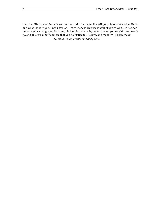tles. Let Him speak through you to the world. Let your life tell your fellow-men what He is, and what He is to you. Speak well of Him to men, as He speaks well of you to God. He has honoured you by giving you His name; He has blessed you by conferring on you sonship, and royalty, and an eternal heritage: see that you do justice to His love, and magnify His greatness." *—Horatius Bonar, Follow the Lamb, 1861.*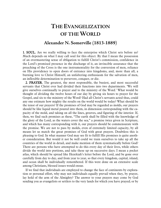# **THE EVANGELIZATION OF THE WORLD**

# **Alexander N. Somerville (1813-1889)**

<span id="page-7-0"></span>1. SOUL. Are we really willing to face the enterprise which Christ sets before us? Much depends on what I may call soul for this object. By that I mean the possession of an overmastering sense of obligation to fulfill Christ's commission, confidence in the Lord's promised presence in the discharge of it, an invincible assurance that the preaching of the Cross is the one instrumentality for the conversion of men, reliance on His providence to open doors of entrance into kingdoms, and, more than all, a burning love to Christ Himself, an unfaltering enthusiasm for the salvation of men, an inflexible determination to persevere, conquer, or die.

2. PRAYER. The greatest, the most responsible, the busiest, and most successful servants that Christ ever had divided their functions into two departments. 'We will give ourselves continually to prayer and to the ministry of the Word.' What would be thought of dividing the twelve hours of our day by giving six hours to prayer for the Gospel, and six to the ministry of the Word? Had all Christ's servants acted thus, could any one estimate how mighty the results on the world would be today? What should be the tenor of our prayers? If the promises of God may be regarded as molds, our prayers should be like liquid metal poured into them, in dimension corresponding with the capacity of the mold, and taking on all the lines, grooves, and figuring of the interior. If, then, we find such promises as these, "The earth shall be filled with the knowledge of the glory of the Lord, as the waters cover the sea," a promise twice given in Scripture, and which has many corresponding with it, our prayers should be commensurate with the promise. We are not to pass by molds, even of extremely limited capacity, by all means let us match the great promises of God with great prayers. Doubtless this is pleasing to God. In what manner God may see fit to fulfill His promises is quite another consideration. But would it not be well could we train ourselves to take up all the countries of the world in detail, and make mention of them systematically before God? There are persons who have attempted to do this every day of their lives, while others divide the world into portions, and take these up on successive days. I mean a pocket atlas, which should be spread like Hezekiah's letter before the Lord, and be gone over carefully from day to day, and from year to year, so that every kingdom, capital, island, and ocean shall be individually remembered. If this were done on an extensive scale among Christians, blessed issues would ensue.

If we find that individuals are employed to change the face of continents by exploration or personal effort, why may not individuals equally prevail when they, by prayer, lay hold of the arm of the Almighty? The answer to your prayers may come by God sending you as evangelists or settlers to the very lands for which you have prayed; or by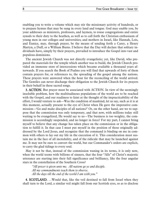enabling you to write a volume which may stir the missionary activity of hundreds, or to prepare hymns that may be sung in every land and tongue. God may enable you, by your addresses as ministers, professors, and laymen, to rouse congregations and entire synods to their duty to the heathen, as well as to call forth the Christian enthusiasm of young men in our colleges and universities; and mothers in Israel, like Hannah, Lois, and Eunice, may, through prayer, be the means of sending forth a Carey, a Henry Martyn, a Duff, or a William Burns. I believe that the Day will declare that solitary individuals have, simply by their prayers, prevailed to introduce the Gospel into vast and populous dominions.

The ancient Jewish Church was not directly evangelistic; yet, like David, who prepared the materials for the temple which another was to build, the Jewish Church provided an immense store of intercessions which became available a thousand years afterwards. If you search the Book of Psalms you will find that upwards of forty of them contain prayers for, or references to, the spreading of the gospel among the nations. These prayers were answered when the hour for the reconciling of the world arrived. The Gentiles can never discharge their obligation to the Jewish Church for its prayers in their behalf in these sacred songs.

3. ACTION. But prayer must be associated with ACTION. In view of the seemingly insoluble problem, how the multitudinous populations of the world are to be reached with the Gospel, and our readiness to faint at the thought of the impracticability of the effort, I would venture to ask—Was the condition of mankind, let us say, such as it is at this moment, actually present to the eye of Christ when He gave the imperative commission—'Go and make disciples of all nations?' Or, on the other hand, are we to suppose that the commission was only temporary, and that now, with millions today still waiting to be evangelized, He would say to us—The business is too weighty, the commission is accordingly suspended, and no longer in force? For my part, I cannot bring myself to believe that any change has taken place on the commission or in the obligation to fulfill it. In that case I must put myself in the position of those originally addressed by the Lord Jesus, and recognize that the command is binding on me in common with others to lay out my life in the execution of it. This consideration must sustain me in the face of all incredulity, and of the ridicule that may be launched against me. It may not be ours to convert the world, but our Commander's orders are explicit, to carry the glad tidings to every soul.

May it not be that, instead of the commission waning in its terms, it is only now, when the world teems with billions of sinners, that the four "Alls" of Christ's majestic utterance are starting into their full significance and brilliancy, like the four angular stars in the constellation of the Southern Cross?

*"All power is given unto me. All nations go ye and disciple. All my commandments teach them to observe. All the days till the end of the world I am with you."*

4. SCOTLAND. …Would that, like the veil destined to fall from Israel when they shall turn to the Lord, a similar veil might fall from our Scottish eyes, so as to disclose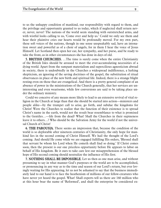to us the unhappy condition of mankind, our responsibility with regard to them, and the privilege and opportunity granted to us today, which if neglected shall return never, never, never! The nations of the world seem standing with outstretched arms, and with wistful looks calling to us, 'Come over and help us.' Could we only see them and hear their plaintive cries our hearts would be profoundly moved. For my own part, these soft voices of the nations, though in one sense unspeakably sad, have an intonation sweet and powerful as of a choir of angels, for in them I hear the voice of Jesus Himself. Let Scotland then open her ear, her sympathy, and her purse, and be ready to take the front, as in other circumstances she has done in days of old.

5. BRITISH CHURCHES. ... The time is surely come when the entire Christianity of the British Isles should be aroused to meet the ever-accumulating necessities of a dying world. Apart from the rampant materialism and supercilious agnosticism abroad in society, there is undoubtedly in the Churches a widespread indifference, a lurking skepticism, an ignoring of the saving doctrines of the gospel, the substitution of ritual observances in place of the new birth and spiritual life. Indeed, there is a strange blight resting even on those that are evangelical. And there is a pretty general complaint of an absence of power in the ministrations of the Church generally, that her services are uninteresting and even wearisome, while few conversions are said to be taking place under the ordinary ministry.

Could we conceive of any means more likely to lead to an extensive revival of vital religion in the Church at large than that she should be started into action—ministers and people alike—by the trumpet call to arise, go forth, and subdue the kingdoms for Christ! Were the Churches to realize that the function of their existence is to spread Christ's name in the earth, would not the result bear resemblance to what is promised to the Gentiles…—life from the dead? What! Shall the Churches in their supineness leave it to others…? Who should be the Salvation Army for the world if not the universal Church of Christ!

6. THE PAROUSIA. There seems an impression that, because the condition of the world is so deplorable after nineteen centuries of Christianity, the only hope for mankind lies in the second coming of Christ Himself. We hail the thought of the Lord's coming. And should He come while we are engaged fulfilling His orders, 'Blessed shall that servant be whom his Lord when He cometh shall find so doing.' If Christ comes soon, then the present is our one priceless opportunity before He appears to labor on behalf of His kingdom. Be it ours to take care lest our misapprehension of the blessed hope of His second coming should neutralize the influence of His first.

7. NOTHING SHALL BE IMPOSSIBLE. Let us then as one man arise, and without presuming to say in what manner God's purposes or the world are to be accomplished, or pronouncing in any way as to the time and season of our Lord's return, but ever lovingly waiting for His appearing, let us not be ashamed to say that the business immediately laid to our hand is to face the heathenism of millions of our fellow-creatures who have never yet heard the gospel. What! Shall experts tell us there are 160 million who at this hour bear the name of 'Reformed', and shall the enterprise be considered ex-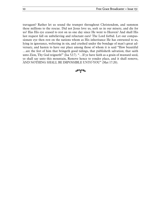travagant? Rather let us sound the trumpet throughout Christendom, and summon these millions to the rescue. Did not Jesus love us, seek us in our misery, and die for us? Has His eye ceased to rest on us one day since He went to Heaven? And shall His last request fall on unbelieving and reluctant ears? The Lord forbid. Let our compassionate eye then rest on the nations whom as His inheritance He has entrusted to us, lying in ignorance, weltering in sin, and crushed under the bondage of man's great adversary, and hasten to have our place among those of whom it is said "How beautiful …are the feet of him that bringeth good tidings, that publisheth salvation; that saith unto Zion, Thy God reigneth!" (Isa 52:7). "…If ye have faith as a grain of mustard seed, ye shall say unto this mountain, Remove hence to yonder place, and it shall remove, AND NOTHING SHALL BE IMPOSSIBLE UNTO YOU" (Mat 17:20).

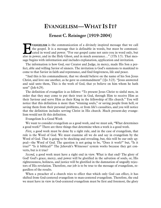# **EVANGELISM—WHAT IS IT?**

### **Ernest C. Reisinger (1919-2004)**

<span id="page-11-0"></span>VANGELISM is the communication of a divinely inspired message that we call the gospel. It is a message that is definable in words, but must be communicated in word and power. "For our gospel came not unto you in word only, but also in power, and in the Holy Ghost, and in much assurance…" (1Th 1:5). That message begins with information and includes explanation, application and invitation. **Executed** the

The information is how God, our Creator and Judge, in mercy, made His Son a perfect, able and willing Savior of sinners. The invitation is God's summons to mankind to come to that Savior in faith and repentance, and find forgiveness, life and peace.

"And this is his commandment, that we should believe on the name of his Son Jesus Christ, and love one another, as he gave us commandment" (1Jo 3:23). "Jesus answered and said unto them, This is the work of God, that ye believe on him whom he hath sent" (Joh 6:29).

The definition of evangelize is as follows: "To present Jesus Christ to sinful men, in order that they may come to put their trust in God, through Him to receive Him as their Saviour and serve Him as their King in the fellowship of His church." You will notice that this definition is more than "winning souls," or saving people from hell, or saving them from their personal problems, or from life's casualties, and you will notice that the definition includes serving Christ in His church. Much present-day evangelism would not fit this definition.

Evangelism Is a Good Work

We want to consider evangelism as a good work, and we must ask, "What determines a good work?" There are three things that determine when a work is a good work.

*First,* a good work must be done by a right rule, and in the case of evangelism, that rule is the Word of God. We must examine all we do and say in evangelism by the Word of God. That is going to be shocking and revealing, but, this will be our only appeal—the Word of God. The question is not going to be, "Does it work?" but, "Is it true?" "Is it biblical?" The Jehovah's Witnesses' system works because they get converts, but is it true?

*Second,* a good work must have a right end in view. What is that end? The glory of God! God's grace, mercy, and power will be glorified in the salvation of souls, or, His righteousness, holiness, and justice will be glorified in the damnation of ungodly rejectors of His revelation. Therefore, our job is to be true to the message of evangelism, regardless of the results.

When a preacher of a church tries to effect that which only God can effect, it has shifted from God-centered evangelism to man-centered evangelism. Therefore, the end we must have in view in God-centered evangelism must be first and foremost, the glory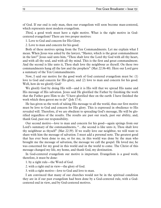of God. If our end is only man, then our evangelism will soon become man-centered, which represents most modern evangelism.

*Third,* a good work must have a right motive. What is the right motive in Godcentered evangelism? There are two proper motives:

1. Love to God and concern for His Glory.

2. Love to man and concern for his good.

Both of these motives spring from the Ten Commandments. Let me explain what I mean. When Jesus was asked by the lawyer, "Master, which is the great commandment in the law?" Jesus said unto him, "Thou shalt love the Lord thy God with all thy heart, and with all thy soul, and with all thy mind. This is the first and great commandment. And the second is like unto it, Thou shalt love thy neighbour as thyself. On these two commandments hang all the law and the prophets" (Mat 22:36-40). Here our Lord gave a summary of the Ten Commandments.

Now, I said our motive for the good work of God centered evangelism must be: (1) love to God and concern for His glory, and (2) love to man and concern for his good. Well, how do we glorify God?

We glorify God by doing His will—and it is His will that we spread His name and His message of His salvation. Jesus said He glorified the Father by finishing the work that the Father gave Him to do: "I have glorified thee on the earth: I have finished the work which thou gavest me to do" (Joh 17:4).

He has given us the work of taking His message to all the world, thus our first motive must be love to God and concern for His glory. This is expressed in obedience to His revealed will. Therefore, if we are obedient to spreading God's message, He will be glorified regardless of the results. The results are past our reach, past our ability, and, thank God, past our responsibility.

Our second motive—love to man and concern for his good—again springs from our Lord's summary of the commandments, "…the second is like unto it, Thou shalt love thy neighbour as thyself" (Mat 22:39). If we really love our neighbor, we will want to share with him the message of salvation. I must add a personal note. The greatest good that has ever been done to me, or for me, in this world was done by the man who brought me the message of salvation, the message we call the gospel. He loved me; he was concerned for my good in this world and in the world to come. The Christ of this message changed my life, my home, and thank God, my destination.

In God-centered evangelism our motive is important. Evangelism is a good work; therefore, it must be done:

1. by a right rule—the Word of God.

2. with a right end in view—the glory of God.

3. with a right motive—love to God and love to man.

I am convinced that many of our churches would not be in the spiritual condition they are in if our past evangelism had been done by a God-centered rule, with a Godcentered end in view, and by God-centered motives.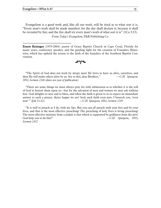\_\_\_\_\_\_\_\_\_\_\_\_\_\_\_\_\_\_\_\_\_\_\_

Evangelism is a good work and, like all our work, will be tried as to what sort it is. "Every man's work shall be made manifest: for the day shall declare it, because it shall be revealed by fire; and the fire shall try every man's work of what sort it is" (1Co 3:13).

From *Today's Evangelism,* P&R Publishing Co.

Ernest Reisinger (1919-2004): pastor of Grace Baptist Church in Cape Coral, Florida for many years, conference speaker, and the guiding light for the creation of Founders Ministries, which has upheld the return to the faith of the founders of the Southern Baptist Convention.

ี่∽า∕∼

"The Spirit of God does not work by sleepy men! He loves to have us alive, ourselves, and then He will make others alive by us. See to this, dear Brothers." —*C.H. Spurgeon, 1892, Sermon 2246 (dates are year of publication)*

"There are some things we must always pray for with submission as to whether it is the will of God to bestow them upon us—but for the salvation of men and women we may ask without fear. God delights to save and to bless, and when the faith is given to us to expect an immediate answer to such a prayer, thrice happy we are! Seek such faith even now, I beseech you, 'even now' " (Joh 11:22). —*C.H. Spurgeon, 1892, Sermon 2249*

"It is well to preach as I do, with my lips. But you can *all* preach with your feet and by your lives, and that is the most effective preaching! The preaching of holy lives is living preaching! The most effective ministry from a pulpit is that which is supported by godliness from the pew! God help you to do this!"  $—C.H.$  *Spurgeon, 1895, Sermon 2432*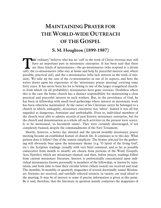# <span id="page-14-0"></span>**MAINTAINING PRAYER FOR THE WORLD-WIDE OUTREACH OF THE GOSPEL**

# **S. M. Houghton (1899-1987)**

HE 'ordinary' believer who has no 'call' to the work of Christ overseas may still have an important part in missionary enterprise. It has been said that there are three kinds of missionaries—the go-missionaries (who respond to a divine **CALLY** THE 'ordinary' believer who has no 'call' to the work of Christ overseas may still have an important part in missionary enterprise. It has been said that there are three kinds of missionaries—the go-missionaries (w possible, practical aid), and the o-missionaries (who lack interest in the work of mission). We take up the case of the co-missionaries in one of its aspects, and here the writer draws upon his experience of the 'missionary prayer meeting' covering some forty years. It has never been his lot to belong to one of the larger evangelical churches from which (in all probability) missionaries have gone overseas. Doubtless where this is the case the home church has a distinct responsibility for maintaining a close practical and prayerful interest in such workers. But, in the providence of God, he has been in fellowship with small local gatherings where interest in missionary work has been otherwise maintained. At the outset of his Christian career he belonged to a church in which, unhappily, missionary enterprise was 'taboo'. Indeed it was all but regarded as dangerous, Arminian and unthinkable. Even so, individual members of the church were able to admire records of past historic missionary enterprise, but for the church and denomination as a whole all such activities in the present were scarcely to be mentioned, 'as becometh saints'. They were certainly discouraged, if not completely banned, despite the commandments of the New Testament.

Shortly, however, a better day dawned and the special monthly missionary prayer meeting became an established feature of church life. It continues so to this day. What pattern does it follow? One of the utmost simplicity. The hymns selected for the gathering will obviously bear upon the missionary theme {e.g. 'O Spirit of the living God', etc.); the Scripture readings (usually with very brief comment, and as far as possible consecutive from month to month) are chosen from portions of the Word (Gospels, Acts, Epistles) which are missionary-slanted; and then, before prayer, readings follow from current missionary literature. Interest is preferentially concentrated upon individual missionaries known personally to members of the fellowship, or known by reputation, and from time to time their circular letters (where issued) are received and read. The monthly, bi-monthly or quarterly magazines of several doctrinally sound Missionary Societies are received, and carefully selected extracts, in variety, are read aloud to the meeting. It may be of interest to some if precise information is given at this point. Be it said, therefore, that the literature in question mainly comprises the magazines of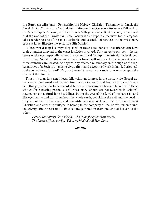the European Missionary Fellowship, the Hebrew Christian Testimony to Israel, the North Africa Mission, the Central Asian Mission, the Overseas Missionary Fellowship, the Strict Baptist Mission, and the French Village workers. Be it specially mentioned that the work of the Trinitarian Bible Society is also kept in close view, for it is regarded as rendering one of the most desirable and essential of services to the missionary cause at large; likewise the Scripture Gift Mission.

A large world map is always displayed on these occassions so that friends can have their attention directed to the exact localities involved. This serves to pin-point the interest of the eye, especially where the geographical 'bump' is relatively undeveloped. Thus, if say Nepal or Ghana are in view, a finger will indicate to the ignorant where these countries are located. As opportunity offers, a missionary on furlough or the representative of a Society attends to give a first-hand account of work in hand. Periodically the collections of a Lord's Day are devoted to a worker or society, as may be upon the hearts of the church.

Thus it is that, in a small local fellowship an interest in the world-wide Gospel enterprise is maintained and fostered from month to month and from year to year. There is nothing spectacular to be recorded but in our measure we become linked with those who go forth bearing precious seed. Missionary labours are not recorded in Britain's newspapers; they furnish no head-lines; but in the eyes of the Lord of the harvest—and His eyes run to and fro throughout the whole earth, beholding the evil and the good they are of vast importance, and stay-at-homes may reckon it one of their choicest Christian and church privileges to belong to the company of the Lord's remembrancers, giving Him no rest until His elect are gathered in from one end of heaven to the other.

*Baptise the nations, far and wide The triumphs of the cross record, The Name of Jesus glorify, Till every kindred call Him Lord.*

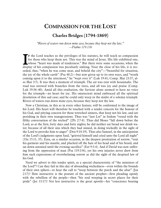# <span id="page-16-0"></span>**COMPASSION FOR THE LOST**

# **Charles Bridges (1794-1869)**

*"Rivers of waters run down mine eyes, because they keep not thy law." —Psalms 119:136*

F the Lord teaches us the privileges of his statutes, he will teach us compassion for those who keep them not. This was the mind of Jesus. His life exhibited one, whose "heart was made of tenderness." But there were some occasions, when the display of his compassion was peculiarly sinking. Near the close of his life, it is recorded, that, "when he was come near, and beheld the city"—"beautiful for situation, the joy of the whole earth" (Psa 48:2)—but now given up to its own ways, and "wrath coming upon it to the uttermost," he "wept over it" (Luk 19:41; Comp. Mat 23:37, also Mar 3:5). It was then a moment of triumph. The air was rent with hosannahs. The road was strewed with branches from the trees, and all was joy and praise (Comp. Luk 19:36–40). Amid all this exultation, the Saviour alone seemed to have no voice for the triumph—no heart for joy. His omniscient mind embraced all the spiritual desolation of this sad case; and he could only weep in the midst of a solemn triumph. Rivers of waters run down mine eyes, because they keep not thy law. F t<br>for<br>display

Now a Christian, in this as in every other feature, will be conformed to the image of his Lord. His heart will therefore be touched with a tender concern for the honour of his God, and pitying concern for those wretched sinners, that keep not his law, and are perishing in their own transgressions. Thus was "just Lot" in Sodom "vexed with the filthy conversation of the wicked" (2Pe 2:7-8). Thus did Moses "fall down before the Lord, as at the first, forty days and forty nights; he did neither eat bread nor drink water; because of all their sins which they had sinned, in doing wickedly in the sight of the Lord to provoke him to anger" (Deu 9:18-19). Thus also Samuel, in the anticipation of the Lord's judgments upon Saul, "grieved himself and cried unto the Lord all night" (1Sa 15:11, 35). Ezra, on a similar occasion, in the deepest prostration of sorrow, "rent his garment and his mantle, and plucked off the hair of his head and of his beard, and sat down astonied until the evening sacrifice" (Ezr 9:3-4). And if David was now suffering from the oppression of man (Psa 119:134), yet his own injuries never drew from him such expressions of overwhelming sorrow as did the sight of the despised law of his God.

Need we advert to this tender spirit, as a special characteristic of "the ministers of the Lord"? Can they fail in this day of abounding wickedness—even within the bounds of their own sphere—to hear the call to "weep between the porch and the altar" (Joe 2:17)? How instructive is the posture of the ancient prophet—first pleading openly with the rebellion of the people—then "his soul weeping in secret places for their pride" (Jer 13:17)! Not less instructive is the great apostle—his "conscience bearing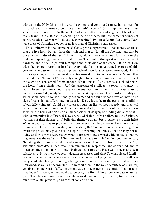witness in the Holy Ghost to his great heaviness and continued sorrow in his heart for his brethren, his kinsmen according to the flesh" (Rom 9:1–3). In reproving transgressors, he could only write to them, "Out of much affliction and anguish of heart with many tears" (2Co 2:4), and in speaking of them to others, with the same tenderness of spirit, he adds: "Of whom I tell you even weeping" (Phi 3:18; Comp. Act 20:19). Tears were these of Christian eloquence no less than of Christian compassion.

Thus uniformly is the character of God's people represented—not merely as those that are free from, but as "those that sigh and that cry for all the abominations that be done in the midst of the land." They—they alone—are marked out for mercy in the midst of impending, universal ruin (Eze 9:4). The want of this spirit is ever a feature of hardness and pride—a painful blot upon the profession of the gospel (1Co 5:2). How wide the sphere presenting itself on every side for the unrestrained exercise of this yearning compassion! The appalling spectacle of a world apostatized from God, of multitudes sporting with everlasting destruction—as if the God of heaven were "a man that he should lie" (Num 23:19), is surely enough to force rivers of waters from the hearts of those who are concerned for his honour. What a mass of sin ascends as a cloud before the Lord, from a single heart! Add the aggregate of a village—a town—a country—a world! Every day—every hour—every moment—well might the rivers of waters rise to an overflowing tide, ready to burst its barriers. We speak not of outward sensibility (in which some may be constitutionally deficient, and the exuberance of which may be no sign of real spiritual affection), but we ask—Do we lay to heart the perishing condition of our fellow-sinners? Could we witness a house on fire, without speedy and practical evidence of our compassion for the inhabitants? And yet, alas, how often do we witness souls on the brink of destruction—unconscious of danger, or bidding defiance to it with comparative indifference! How are we Christians, if we believe not the Scripture warnings of their danger; or if, believing them, we do not bestir ourselves to their help? What hypocrisy is it to pray for their conversion, while we are making no effort to promote it! Oh! let it be our daily supplication, that this indifference concerning their everlasting state may give place to a spirit of weeping tenderness; that he may not be living as if this world were really, what it appears to be, a world without souls; that we may never see the sabbaths of God profaned, his laws trampled under foot, the ungodly "breaking their bands asunder, and casting away their cords from them" (Psa 2:3), without a more determined resolution ourselves to keep these laws of our God, and to plead for their honour with these obstinate transgressors. Have we no near and dear relatives, yet lying in wickedness—dead in trespasses and sins? To what blessed family, reader, do you belong, where there are no such objects of pity? Be it so—it is well. Yet are you silent? Have you no ungodly, ignorant neighbours around you? And are they unwarned, as well as unconverted? Do we visit them in the way of courtesy or kindness, yet give them no word of affectionate entreaty on the concerns of eternity? Let our families indeed possess, as they ought to possess, the first claim to our compassionate regard. Then let our parishes, our neighbourhood, our country, the world, find a place in our affectionate, prayerful, and earnest consideration.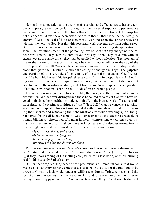Nor let it be supposed, that the doctrine of sovereign and effectual grace has any tendency to paralyze exertion. So far from it, the most powerful supports to perseverance are derived from this source. Left to himself—with only the invitations of the Gospel not a sinner could ever have been saved. Added to these—there must be the Almighty energy of God—the seal of his secret purpose—working upon the sinner's will, and winning the heart to God. Not that this sovereign work prevents any from being saved. But it prevents the salvation from being in vain to all, by securing its application to some. The invitations manifest the pardoning love of God; but they change not the rebel heart of man. They show his enmity; yet they slay it not. They leave him without excuse; yet at the same time—they may be applied without salvation. The moment of life in the history of the saved sinner is, when he is "made willing in the day of the Lord's power" (Psa 110:3)—when he comes—he looks—he lives. It is this dispensation alone that gives the Christian labourer the spring of energy and hope. The palpable and awful proofs on every side, of the "enmity of the carnal mind against God," rejecting alike both his law and his Gospel, threaten to sink him in despondency. And nothing sustains his tender and compassionate interest, but the assurance of the power of God to remove the resisting medium, and of his purpose to accomplish the subjugation of natural corruption in a countless multitude of his redeemed people.

The same yearning sympathy forms the life, the pulse, and the strength of missionary exertion, and has ever distinguished those honoured servants of God who have devoted their time, their health, their talent, their all, to the blessed work of " saving souls from death, and covering a multitude of sins." (Jam 5:20.) Can we conceive a missionary living in the spirit of his work—surrounded with thousands of mad idolaters, hearing their shouts, and witnessing their abominations, without a weeping spirit? Indignant grief for the dishonour done to God—amazement at the affecting spectacle of human blindness—detestation of human impiety—compassionate yearnings over human wretchedness and ruin—all combine to force tears of the deepest sorrow from a heart enlightened and constrained by the influence of a Saviour's love.

*My God! I feel the mournful scene; My bowels yearn o'er dying men; And fain my pity would reclaim, And snatch the fire-brands from the flame,* 

This, as we have seen, was our Master's spirit. And let none presume themselves to be Christians, if they are destitute of "this mind that was in Christ Jesus" (See Phi 2:4– 8); if they know nothing of his melting compassion for a lost world, or of his burning zeal for his heavenly Father's glory.

Oh, for that deep realizing sense of the preciousness of immortal souls, that would make us look at every sinner we meet as a soul to be "pulled out of the fire," and to be drawn to Christ—which would render us willing to endure suffering, reproach, and the loss of all, so that we might win one soul to God, and raise one monument to his everlasting praise! Happy mourner in Zion, whose tears over the guilt and wretchedness of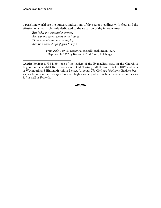a perishing world are the outward indications of thy secret pleadings with God, and the effusion of a heart solemnly dedicated to the salvation of thy fellow-sinners!

*But feeble my compassion proves, And can but weep, where most it loves; Thine own all-saving arm employ, And turn these drops of grief to joy.¶*

\_\_\_\_\_\_\_\_\_\_\_\_\_\_\_\_\_\_\_\_\_\_\_

From *Psalm 119: An Exposition,* originally published in 1827. Reprinted in 1977 by Banner of Truth Trust, Edinburgh.

Charles Bridges (1794-1869): one of the leaders of the Evangelical party in the Church of England in the mid-1800s. He was vicar of Old Newton, Suffolk, from 1823 to 1849, and later of Weymouth and Hinton Martell in Dorset. Although *The Christian Ministry* is Bridges' bestknown literary work, his expositions are highly valued, which include *Ecclesiastes* and *Psalm 119* as well as *Proverbs*.

#### শ∼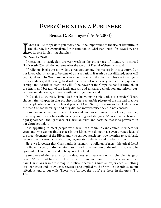# <span id="page-20-0"></span>**EVERY CHRISTIAN A PUBLISHER**

## **Ernest C. Reisinger (1919-2004)**

WOULD like to speak to you today about the importance of the use of literature in the church, for evangelism, for instruction in Christian truth, for devotion, and for its role in planting churches. I the the

#### The Need for Truth

Protestants, in particular, are very weak in the proper use of literature to spread God's truth. We still do not remember the words of Daniel Webster who said:

'If religious books are not widely circulated among the masses in this country, I do not know what is going to become of us as a nation. If truth be not diffused, error will be; if God and His Word are not known and received, the devil and his works will gain the ascendancy; if the evangelical volume does not reach every hamlet, the pages of a corrupt and licentious literature will; if the power of the Gospel is not felt throughout the length and breadth of the land, anarchy and misrule, degradation and misery, corruption and darkness, will reign without mitigation or end.'

In Isaiah 1:3, we read, 'Israel doth not know, my people doth not consider.' Then, chapter after chapter in that prophecy we have a terrible picture of the life and practice of a people who were the professed people of God. Surely their sin and wickedness was the result of not 'knowing,' and they did not know because they did not consider.

Books are to be used to dispel darkness and ignorance. If men do not know, then they must acquaint themselves with facts by reading and studying. We need to use books to fight ignorance—the ignorance of Christian truth and doctrine that is so prevalent in our churches today.

It is appalling to meet people who have been communicant church members for years and who cannot find a place in the Bible, who do not have even a vague idea of the great doctrines of the Bible, and who cannot attach any true meaning to such basic terms as justification, sanctification, regeneration, election and predestination.

Have we forgotten that Christianity is primarily a religion of facts—historical facts? The Bible is a body of divine information; and to be ignorant of the information is to be ignorant of Christianity and to be ignorant of God.

Surely one of the reasons for the deadness and weakness of our churches is ignorance. We will not have churches that are strong and fruitful in experience until we have Christians who are strong in biblical doctrine. Christian experience is nothing less than truth and its evidence revealed and applied by the Spirit to our minds, to our affections and to our wills. Those who 'do not the truth' are those 'in darkness' (1Jo 1:6).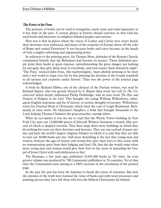#### The Power of the Press

The ministry of books can be used to evangelize, teach, train and expel ignorance as it has done in the past. A cursory glance at history should convince us that God has used books and literature to enlighten blinded peoples and nations.

How was it that in places where the voices of Luther and Calvin were never heard, their doctrines were embraced, and many of the countries of Europe threw off the yoke of Rome and turned Protestant? It was because books and tracts became, in the hands of God, a mighty reforming and regenerating power.

In reference to the printing press, Sir Thomas More, defender of the Roman Church, complained bitterly that the Reformers had become its master: 'These diabolical people print their books at great expense, notwithstanding the great danger; not looking for any gain, they give them away to everybody, and even scatter them abroad by night.' 'The Pope,' rejoiced John Foxe, (the martyrologist), 'must abolish printing or he must seek a new world to reign over; for by this printing the doctrine of the Gospel soundeth to all nations and countries under heaven.' Thus was the power of the printed page acknowledged.

A book by Richard Sibbes, one of the choicest of the Puritan writers, was read by Richard Baxter, who was greatly blessed by it. Baxter then wrote his *Call To The Unconverted* which deeply influenced Philip Doddridge, who in turn wrote *The Rise and Progress of Religion in the Soul*. This brought the young William Wilberforce, subsequent English statesman and foe of slavery, to serious thoughts of eternity. Wilberforce wrote his *Practical Book of Christianity* which fired the soul of Leigh Richmond. Richmond, in turn, wrote *The Dairyman's Daughter*, a book that brought thousands to the Lord, helping Thomas Chalmers the great preacher, among others.

What an eye-opener it was for me to read that the Watch Tower building in New York City puts out 12,000,000 pieces of Jehovah Witness literature a month, fifty percent of which is shipped overseas. They have large three-story buildings in which they do nothing but turn out their doctrines and heresies. They use one carload of paper per day and have the world's largest religious bindery in which it is said that they are able to turn out 30,000 books per day. Still more disturbing is the fact that young men and women, between the ages of twenty and twenty-five, give their lives to this cause, with no remuneration apart from their lodging and food. Oh, that the day would come when more young men and women would give their lives to the cause of spreading the Gospel of Jesus Christ with such dedication as this!

The Russians, a few years ago, published 29,301,400 books in 701 titles. An even greater volume was produced by 700 Communist publishers in 58 countries. Yet at that time the Communists were aiming at a 300% increase in the circulation of the printed page.

In the past the pen has been the hammer to break the errors of centuries. But now the enemies of the truth have learned the value of books and with word processors and printing presses they have left those who love the biblical Christianity far behind.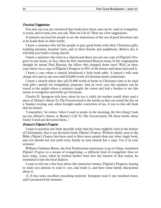#### Practical Suggestions

You may say you are convinced that books have been, and can be, used to evangelize, to teach, and to train, but, you ask, 'How do I do it?' Here are a few suggestions:

A minister can lead his people to see the importance of the use of good literature just as he leads them in other truths.

I know a minister who led his people to give good books with their Christmas gifts, wedding presents, hospital visits, and to their friends and neighbours. Believe me, it will help you build a strong church.

I know a minister who went to a church and there was not one copy of Pilgrim's Progress in any home, in fact, when he first mentioned Bunyan many in his congregation thought he meant Paul Bunyan, the fellow who chopped down trees! Well, in three years there was a copy of Pilgrim's Progress in 90% of the homes and many had read it.

I know a case where a church introduced a little book table. A lawyer's wife took charge of it and in one year sold \$10,000 worth of Christian books (wholesale).

I know a church where they sell \$1,000 worth of books at Christmas time to be used with gifts—mostly for evangelistic purposes. And in every case this ministry can be traced to the pulpit where a minister caught the vision and had a burden to use this means to evangelize and build up Christians.

Charles H. Spurgeon tells how, when he was a child, his mother would often read a piece of Alleine's Alarm To The Unconverted to the family as they sat round the fire on a Sunday evening and, when brought under conviction of sin, it was to this old book that he turned.

'I remember,' he writes, 'when I used to awake in the morning, the first thing I took up was Alleine's Alarm, or Baxter's Call To The Unconverted. Oh those books, those books! I read and devoured them...'

#### Bunyan's Pilgrim's Progress

I want to mention one book specially today that has been mightily used in the history of Christianity, that is my favourite book, *Pilgrim's Progress*. Without doubt, next to the Bible, *Pilgrim's Progress* has been used to bless more people than any other single book, and you should not rest until every family in your church has a copy. Use it in your sermons!

William Chalmers Burns, the first Presbyterian missionary to go to China, translated *Pilgrim's Progress* as a means of evangelizing—a different kind of evangelism than we have today. Later, when he worked farther back into the interior of that nation, he translated it into the local dialects.

I want to tell you a few facts about this immortal volume, Pilgrim's Progress, hoping to make you anxious to read it—yes, and study it, and have some family discussions about it.

(1) It has some excellent preaching material. Spurgeon read it one hundred times, and it permeated his sermons.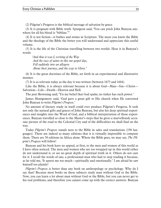(2) Pilgrim's Progress is the biblical message of salvation by grace.

(3) It is pregnant with Bible truth. Spurgeon said, 'You can prick John Bunyan anywhere for all his blood is "bibline."

(4) It is not fiction—it bathes and swims in Scripture. The more you know the Bible and the theology of the Bible the better you will understand and appreciate this useful volume.

(5) It is the life of the Christian travelling between two worlds. Hear it in Bunyan's words:

*'And thus it was I, writing of the Way And the race of saints in this our gospel day, Fell suddenly into an allegory About their journey, and the way to Glory.'*

(6) It is the great doctrines of the Bible, set forth in an experimental and illustrative manner.

(7) It is as relevant today as the day it was written (between 1675 and 1684).

Like the Bible, it is always relevant because it is about God—Man—Sin—Christ— Salvation—Life—Death—Heaven and Hell.

The poet Browning said, 'Tis my belief that God spake; no tinker has such power.'

James Montgomery said, 'God gave a great gift to His church when He converted John Bunyan to write *Pilgrim's Progress*.'

No amount of literary study in itself could ever produce Pilgrim's Progress. It took not only the natural gifts and graces of John Bunyan, but also his deep spiritual experiences and insights into the Word of God, and a biblical interpretation of those experiences. Bunyan travelled so close to the Master's steps that he gives a marvellously accurate picture of the road to the Celestial City and of the difficulties we shall find on the way.

Today *Pilgrim's Progress* stands next to the Bible in sales and translations (198 languages). There are indeed so many editions that it is virtually impossible to compute them. There are 50 editions in Africa alone. Where the Bible goes, we may say, *The Pilgrim's Progress* will follow!

Bunyan and his book have no appeal, at first, to the men and women of this world as I have often noticed. The men and women who are too wrapped up in this world either do not understand it, or see no great depth of spiritual truth in it. Others do not care for it. I recall the words of one, a professional man who had to stop reading it because, as he told me, 'It upsets me too much—spiritually and emotionally.' I am afraid he saw himself too plainly!

*Pilgrim's Progress* is better than any book on anthropology or psychology. Why do I say that? Because most books on these subjects study man without God or the Bible. Now, you can learn a lot about man without God or the Bible, but you can never get to his real problems, and therefore you cannot come up with the correct answers. Bunyan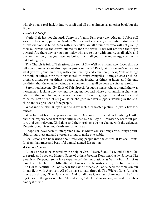will give you a real insight into yourself and all other sinners as no other book but the Bible.

#### Lessons for Today

Vanity-Fair has not changed. There is a Vanity-Fair every day. Madam Bubble still seeks to draw away pilgrims. Madam Wanton walks on every street. Mrs Bats-Eye still thinks everyone is blind. Men with muckrakes are all around us who will not give up their muckrake for the crown offered by the One above. They will not turn their eyes upward. Are there any of you here today who are so busy with straws, small sticks and dust on the floor, that you have not looked up? Is all your time and energy spent without looking up?

The Church is full of Talkatives, the son of Say-Well of Prating Row. Does this not tell you volumes about this type in just a sentence? Ready at a moment's notice for what you will, this man can, with equal facility and equal emptiness, 'talk of things heavenly or things earthly; things moral or things evangelical; things sacred or things profane; things past or things to come; things foreign or things at home; and the only condition that the wretched windbag stipulates is that all be done to spiritual profit.'

Surely you have met By-Ends of Fair-Speech. 'A subtle knave' whose grandfather was a waterman, looking one way and rowing another and whose distinguishing characteristics are that, in religion, he makes it a point to 'never to go against wind and tide, and to be the best friend of religion when she goes in silver slippers, walking in the sunshine and is applauded of the people.'

What infinite skill Bunyan had to draw such a character picture in just a few sentences!

Who has not been the prisoner of Giant Despair and suffered in Doubting Castle, and then experienced that wonderful release by the Key of Promise? A beautiful picture and very relevant. Christians and their problems do not change with the calendar. Despair, doubt, fear, and death are still with us.

I hope you have been to Interpreter's House where you see things rare, things profitable, things pleasant, and awesome things to make one stable.

Real lessons can be learned about receiving people into the church at Palace Beautiful from that grave and beautiful damsel named Discretion.

#### A Practical Lesson

All of us need to be cheered by the help of Great-Heart, Stand-Fast, and Valiant-forthe-truth, and good old Honest. Some of us have been in Doubting Castle. Some in The Slough of Despond. Some have experienced the temptations at Vanity-Fair. All of us have to climb The Hill Difficulty, all of us need to be instructed by the Interpreter in The House Beautiful. All of us bear the same burdens. All of us need the same armour in our fight with Apollyon. All of us have to pass through The Wicket-Gate. All of us must pass through The Dark River. And for all true Christians there awaits The Shining Ones at the gates of The Celestial City, 'which, when we see, we wish ourselves amongst them.'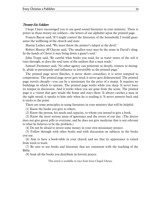#### Twenty-Six Soldiers

I hope I have encouraged you to use good sound literature in your ministry. There is power in those twenty-six soldiers—the letters of our alphabet upon the printed page.

Francis Bacon said, 'If I might control the literature of the household, I would guarantee the wellbeing of the church and state.

Martin Luther said, 'We must throw the printer's inkpot at the devil.'

Robert Murray M'Cheyne said, 'The smallest tract may be the stone in David's sling. In the hands of Christ it may bring down a giant's soul.'

John Trapp said, 'Be careful what books you read, for as water tastes of the soil it runs through, so does the soul taste of the authors that a man reads.'

Samuel Zwemmer said, 'No other agency can penetrate so deeply, witness so daringly, abide so persistently and influence so irresistibly as the printed page.'

The printed page never flinches, it never shows cowardice; it is never tempted to compromise. The printed page never gets tired; it never gets disheartened. The printed page travels cheaply—you can be a missionary for the price of a stamp. It requires no buildings in which to operate. The printed page works while you sleep. It never loses its temper in discussion. And it works when you are gone from the scene. The printed page is a visitor that gets inside the home and stays there. It always catches a man in the right mood, it speaks to him only when he is reading it. It never answers back and it sticks to the point.

There are some principles in using literature in your ministry that will be helpful:

(1) Know the books you give to others.

(2) Know the person, his needs and capacity, to whom you intend to give a book.

(3) Know the most serious areas of ignorance and the errors of our day. (The doctor does not give green pills to everyone, and he does not give medicine that is not relevant to what he believes to be the problem.)

(4) Do not be afraid to invest some money in your own missionary project.

(5) Follow through with other books and with discussion on subjects in the books you use.

(6) Aim to have a book-table in your church and see that its appearance is varied from week to week.

(7) Be sure to use books and literature that are consistent with the teaching of the Bible.

(8) Soak all the books you distribute in fervent prayer.

This article is available in tract form from Chapel Library.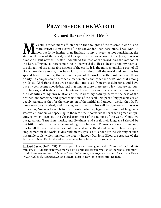# **PRAYING FOR THE WORLD**

## **Richard Baxter (1615-1691)**

<span id="page-26-0"></span>Y soul is much more afflicted with the thoughts of the miserable world, and more drawn out in desire of their conversion than heretofore. I was wont to look but little further than England in my prayers, as not considering the state of the rest of the world; or if I prayed for the conversion of the Jews, that was almost all. But now as I better understand the case of the world, and the method of the Lord's Prayer, so there is nothing in the world that lies so heavy upon my heart as the thought of the miserable nations of the earth. It is the most astonishing part of all God's providence to me, that he so far forsakes almost all the world and confines his special favour to so few; that so small a part of the world has the profession of Christianity, in comparison of heathens, mahometans and other infidels! And that among professed Christians there are so few that are saved from gross delusions, and have but any competent knowledge: and that among those there are so few that are seriously religious, and truly set their hearts on heaven. I cannot be affected so much with the calamities of my own relations or the land of my nativity, as with the case of the heathen, mahometan, and ignorant nations of the earth. No part of my prayers are so deeply serious, as that for the conversion of the infidel and ungodly world, that God's name may be sanctified, and his kingdom come, and his will be done on earth as it is in heaven; Nor was I ever before so sensible what a plague the division of languages was which hinders our speaking to them for their conversion; nor what a great sin tyranny is which keeps out the Gospel from most of the nations of the world. Could we but go among Tartarians, Turks, and Heathens, and speak their language I should be but little troubled for the silencing of eighteen hundred Ministers at once in England, nor for all the rest that were cast out here, and in Scotland and Ireland. There being no employment in the world so desirable in my eyes, as to labour for the winning of such miserable souls: which maketh me greatly honour Mr. John Eliot, the Apostle of the Indians in New England and whoever else have laboured in such work.  $\sum_{\text{not}} \sum_{\text{not}}^{\text{Y s}}$ 

\_\_\_\_\_\_\_\_\_\_\_\_\_\_\_\_\_\_\_\_\_\_\_\_\_\_\_\_\_\_\_\_\_\_\_\_\_\_\_\_\_\_\_\_\_\_\_\_\_\_\_\_\_\_\_

Richard Baxter (1615-1691): Puritan preacher and theologian in the Church of England; his ministry at Kidderminster was marked by a dramatic transformation of the whole community. Well-known author of *The Saint's Everlasting Rest*, *The Reformed Pastor*, *A Christian Directory*, *A Call to the Unconverted,* and others. Born in Rowton, Shropshire, England.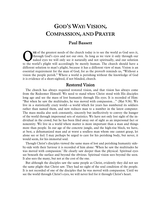# <span id="page-27-0"></span>GOD'S WAY: VISION, **COMPASSION, AND PRAYER**

# **Paul Bassett**

NE of the greatest needs of the church today is to see the world as God sees it, through God's eyes and not our own. As long as we view it only through our naked eyes we will only see it naturally and not spiritually, and our solution The Solution of the greatest needs of the church today is to see the world as God sees it, through God's eyes and not our own. As long as we view it only through our naked eyes we will only see it naturally and not spiritu different solution to man's plight, because it has a different view of man. Vision is an essential requirement for the man of God, for as the proverb reminds us, "Without a vision the people perish." Where a world is perishing without the knowledge of God it is evidence of a short-sighted, if not blinded, church.

### Restored Vision

The church has always required restored vision, and that vision has always come from the Redeemer Himself. We need to stand where Christ stood with His disciples long ago and see the mass of lost humanity through His eyes. It is recorded of Him: "But when he saw the multitudes, he was moved with compassion…" (Mat 9:36). We live in a statistically crazy world—a world which for years has numbered its soldiers rather than named them, and now reduces man to a number in the latest computer. The mass media also seek constantly, sincerely but ineffectively to convey the hunger of the world through impersonal sets of statistics. We have not only lost sight of the individual in the crowd, but he has been filed away out of sight as an impersonal fact or nonentity. We live in a world where matter is more important than a man and things more than people. In our age of the concrete jungle, and the high-rise block, we have, at best, a dehumanized man and at worst a soulless man whom one cannot grasp, let alone see or feel. I may perhaps be urged to care for his perishing body, but never, it would seem, for his immortal soul.

Though Christ's disciples viewed the same mass of lost and perishing humanity sideby-side with their Saviour it is recorded of him alone: 'When he saw the multitudes he was moved with compassion.' He clearly saw deeper than the physical. Spiritual eyes see beneath the surface and beyond the obvious. Spiritual vision sees beyond the seen. It also sees the many, but not at the cost of the one.

But although the disciples saw the same people as Christ, evidently they did not see the same plight that Christ saw. They had no sight of the soul condition of the people. It is not recorded of one of the disciples that he was moved with compassion. Until we see the world through Christ's eyes, we will never feel for it through Christ's heart.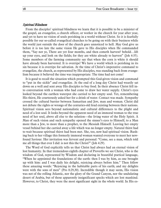#### Spiritual Blindness

From the disciples' spiritual blindness we learn that it is possible to be a minister of the gospel, an evangelist, a church officer, or worker in the church for year after year, and yet to have no vision of souls perishing in a world without Christ. So it is fearfully possible for our so-called evangelical churches to be going on with their business while the world just outside the door of the church goes unnoticed to hell. May God give us before it is too late the same vision He gave to His disciples when He commanded them, "Say not ye, There are yet four months, and then cometh harvest? behold…lift up your eyes, and look on the fields; for they are white already to harvest" (Joh 4:35). Some members of the farming community say that when the corn is white it should have already been harvested. It is overripe! We have a world which is perishing in its sin because it is overripe for salvation. At the time of Christ's imperative command to evangelize, the church, as represented by His disciples, was standing back from evangelism because it believed the time was inappropriate. The time had not come!

It is good to recall the situation which prompted this God-given vision and command to "put in the sickle" and evangelize. At the end of a long day Christ had wearily sat down on a well and sent away His disciples to buy food. In their absence Christ fell into conversation with a woman who had come to draw her water supply. Christ's eyes looked beyond the earthen waterpot she carried to her empty soul. Yet, remembering His thirst, He courteously asked her for a drink of water. Contact was made. Sympathy crossed the cultural barrier between Samaritan and Jew, man and woman. Christ did not debate the rights or wrongs of the centuries-old feud existing between their nations. Spiritual vision sees beyond nationalistic and cultural differences to the plight and need of a lost soul. It looks beyond the apparent need of an immoral woman to the true need of her soul, above all else to the solution—the living water of the Holy Spirit. A Man of such vision and such sympathy opened the sinner's eyes to Himself, to a Man more than a Jew, to more than a prophet, to the Messiah Himself. Leaving her empty vessel behind her she carried away a life which was no longer empty. Natural thirst had to wait because spiritual thirst had been met. She, too, now had spiritual vision. Rushing back to her village this formerly immoral woman wanted everyone to meet her newfound Saviour. Her invitation was fervent and personal: "Come, see a man, which told me all things that ever I did: is not this the Christ?" (Joh 4:29).

The Word of God explicitly tells us that Christ had always had an eternal vision of lost humanity. In that tremendous eighth chapter of Proverbs we see Christ, who is the wisdom of God, represented by Wisdom and declaring in beautiful poetical language, "When he appointed the foundations of the earth: then I was by him, as one brought up with him: and I was daily his delight, rejoicing always before him." Then follow these amazing words: "Rejoicing in the habitable parts of his earth; and my delights were with the sons of men" (Pro 8:29,30). Incredible though it may seem, His vision was not of the rolling Atlantic, nor the glory of the Grand Canyon, nor the undulating desert of Arabia, but of those apparently insignificant specks which are lost mankind. However, to Christ, they were the most significant sight in the whole world. In His es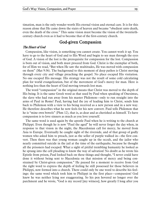timation, man is the only wonder worth His eternal vision and eternal care. It is for this reason alone that He came down the stairs of heaven and became "obedient unto death, even the death of the cross." This same vision must become the vision of the twentiethcentury church even as it had to become that of the first-century church.

### God-given Compassion

#### The Heart of God

Compassion, like vision, is something you cannot create. You cannot work it up. You have to go to the heart of God and to His Word and begin to see man through the eyes of God. A vision of the lost is the prerequisite for compassion for the lost. Compassion is born out of vision, and both must proceed from God. Christ is the exemplar of both, for of Him we read, "But when He saw the multitudes, He was moved with compassion on them" (Mat 9:36). The background to this moment of deep pathos is Christ moving through every city and village preaching the gospel. No place escaped His visitation. No one escaped His message. His strategy was not the result of some cold calculating plan for world evangelization, but of the movement of God's mercy for man. Here is nothing less than the heart of God moving towards lost man.

The word "compassion" in the original means that Christ was moved to the depth of His being. It is the same Greek word as that used by Paul when speaking of Onesimus, the slave who had run away from his master Philemon—only to run straight into the arms of Paul in Rome! Paul, having had the joy of leading him to Christ, sends him back to Philemon with a view to his being received as a new person and in a new way. He therefore describes what he now feels for his new convert. Paul tells Philemon that he is "mine own bowels" (Phm 12), that is, as dear and as cherished as himself. To have compassion is to love sinners as much as you love yourself.

The same word is used again by the apostle Paul when he is writing to the church at Philippi. Even though he is now "Paul the aged" he will never forget the day when, in response to that vision in the night, the Macedonian call for mercy, he moved from Asia to Europe. Eventually he caught sight of the riverside, and of that group of godly women who asked him to preach, just as the seller of purple walked in—the first convert. Then there was that young woman caught up in the occult, and the jailor who nearly committed suicide in the jail at the time of the earthquake, because he thought all the prisoners had escaped. What a sight of pitiful trembling humanity he looked as he sprang into the cell pleading to know the way of salvation! No doubt as he wrote his Epistle from prison, Paul looked back on these things and thought, "I never could have done it without being sent to Macedonia on that mission of mercy and being constrained by Christ-given compassion." He paused for a moment to receive from God the right word to express the depth of feeling he still possessed for those believers in Philippi, now formed into a church. There could only be one word to describe his feelings: the same word which took him to Philippi in the first place—compassion! God knew he was neither lying nor exaggerating. So his pen hovered no longer over the parchment and he wrote, "God is my record [my witness], how greatly I long after you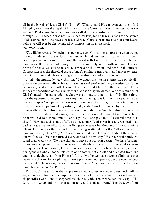all in the bowels of Jesus Christ" (Phi 1:8). What a man! He can even call upon God Almighty to witness the depth of his love for these Christians! Yet in the last analysis it was not Paul's love to which God was called to bear witness, but God's own love through Paul. Indeed it was not Paul's natural love, for he takes us back to the source of his compassion, "the bowels of Jesus Christ." Christ's heart must capture our hearts before we will ever be characterized by compassion for a lost world.

#### The Plight of Man

We will, however, only begin to experience such Christ-like compassion when we see the multitude and mass of lost humanity as He did. As vision is to see man through God's eyes, so compassion is to love the world with God's heart. Alas! How often we have made the mistake of trying to love the unlovely world with our own loveless hearts! Christ, as we have seen earlier, saw beyond the obvious and beneath the surface. Compassion sees the threefold cause of man's plight, yearns over it and moves to remedy it. Christ saw and felt something which the disciples failed to recognize.

Firstly, the multitude were "fainting." No doubt this was in a sense true physically, but even more essentially, spiritually. Sin has weakened men's very constitution. It has eaten away and eroded both his moral and spiritual fibre. Another word which describes the condition of mankind without God is "prayerlessness." We are reminded of Christ's maxim for man: "Men ought always to pray and not to faint." In His estimation the opposite to praying is not simply not praying, but fainting. For prayer is dependence upon God, prayerlessness is independence. A fainting world or a fainting individual is only a picture of a spiritually independent world weakened by sin.

Secondly, sin has also scattered mankind, not only from God, but also from one another. How incredible that a man, made in the likeness and image of God, should have been reduced to a mere animal—and a pathetic sheep at that: "scattered abroad as sheep"! How has such a state of affairs come about? To discover its cause we need to go back to a great evangelical preacher living some seven hundred and fifty years before Christ. He describes the reason for man's being scattered. It is that "all we like sheep have gone astray" (Isa 53:6). "But why?" we ask. We are left in no doubt of the answer: our wilfulness. "We have turned every one to his own way." We have stubbornly refused to go God's way. We have chosen to carve out our own destiny. We have become, to use another picture, a world of scattered islands on the sea of sin. As God views us through eyes of compassion, He does not see us as we see ourselves. He sees us, not as a homogeneous whole, not as related to one another, but cut off and alienated from one another and, above all, from Himself. It is only after we have become Christians that we realize that in God's sight we "in time past were not a people, but are now the people of God." The reason, the secret, is this: then we "had not obtained mercy, but now have obtained mercy" (1Pe 2:10).

Thirdly, Christ saw that the people were shepherdless. A shepherdless flock will always wander. This was the supreme reason why Christ came into this world—for a shepherdless world and a shepherdless church. Only a man who can truly say, "The Lord is my Shepherd" will ever go on to see, "I shall not want." The tragedy of our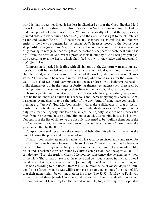world is that it does not know it has lost its Shepherd or that the Good Shepherd laid down His life for the sheep. It is also a fact that no New Testament church lacked an under-shepherd, a God-given minister. We are categorically told that the apostles appointed elders in every church (Act 14:23), and the risen Christ's gift to the church is a pastor and teacher (Eph 4:11). A pastorless and shepherdless church was an unknown entity in the New Testament. Let us realize God's heart is moved to the depths over shepherd-less congregations. May the same be true of our hearts! In fact it is wonderfully moving to recognize that the gift of the pastor or shepherd to each local church is a gift from the heart of God. What a promise to us in our day: "And I will give you pastors according to mine heart, which shall feed you with knowledge and understanding"! (Jer 3: 15).

Compassion is needed in dealing with all sinners, but the Scripture warrants our saying that it will be needed more and more by the individual Christian, minister and church of God, as we draw nearer to the end of the world. Jude reminds us of Christ's words: "There should be mockers in the last time, who should walk after their own ungodly lusts" (Jud 18). In this coming sensual age he enforces on all believers the need to build themselves up, in the sense of fortifying themselves against such pressures, by praying more than ever and keeping their lives in the love of God. Clearly no monastic exclusive separatist movement is called for. To those who have gone astray, compassion is to be the hallmark of a church in a sensuous and increasingly ungodly society. Compassionate evangelism is to be the order of the day: "And of some have compassion, making a difference" (Jud 22). Compassion will make a difference in that it distinguishes the particular sin and need of different individuals in society. Compassion not only feels for the ungodly, but fears the sins of the ungodly, as a fireman rescues the man from the burning house pulling him out as quickly as possible in case he is burnt. Our fear is of the fire of sin, so we are not only concerned to be "pulling them out of the fire" motivated by Christ-given compassion, but at the same time "hating even the garment spotted by the flesh."

Compassion is seeking to save the sinner, and beholding his plight, but never at the cost of fearing the power and contagion of sin.

Finally, a compassionate man is a man who has God-given vision and compassion for the lost. To be such a man he needs to be so close to Christ in his life that he becomes one with Him in compassion. No greater example can be found of a man whose life, belief and conscience were controlled by Christ's compassion than the apostle Paul. He can declare, "I say the truth in Christ, I lie not, my conscience also bearing me witness in the Holy Ghost, that I have great heaviness and continual sorrow in my heart. For I could wish that myself were accursed [separated] from Christ for my brethren, my kinsmen according to the flesh" (Rom 9:1-3). He reminds us of Moses' degree of burden for lost Israel when he was willing to have his name taken out of the book of life that their names might be written there in his place (Exo 32:32). So likewise Paul, who formerly hated these Jewish Christians and persecuted them unto death, has known the compassion of Christ replace the hatred of sin. He, too, is willing to be separated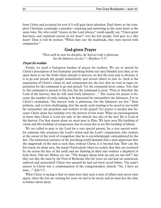from Christ and accursed for ever if it will gain their salvation. Paul shows us the complete Christian, seemingly a paradox—rejoicing and sorrowing in the same heart at the same time. He, who could "rejoice in the Lord always," could equally say, "I have great heaviness and continual sorrow in my heart" over his lost people. God give us a like heart! Then it will be written: "When they saw the multitude, they were moved with compassion."

### God-given Prayer

*"Then saith he unto his disciples, the harvest truly is plenteous, but the labourers are few"—Matthew 9:37.*

#### Prayer for workers

Firstly, we need a God-given burden of prayer for workers. We are so moved by Christ's description of lost humanity perishing before our once blinded eyes that, as we open them to see the fields white already to harvest, we feel the next step is obvious: it is to go and preach the gospel immediately and recruit others to join us. Such is the inspiration of Christ's vision of, and compassion for, the lost, that we wait in eager expectation for the command to go and preach. Yet the command never comes. Not, that is, the command to preach to the lost, but the command to pray: "Pray ye therefore the Lord of the harvest, that he will send forth labourers..." The reason for prayer is because the number of souls waiting to be harvested far outnumbers the labourers. For in Christ's estimation, "the harvest truly is plenteous, but the labourers are few." How pathetic, and yet how challenging, that the needy souls waiting to be saved in our world far outnumber the preachers and workers of the gospel! Yet prayer is needed also because Christ alone has lordship over the harvest of lost souls. What an encouragement to know that Christ is Lord not only of the church, but also of the lost! He is Lord of the harvest. For that reason alone we must pray to Him. We have seen His lordship of vision and His lordship of compassion, but we need also to see His lordship of labour.

We are called to pray to the Lord for a very special person, for a very special work: for someone who possesses the Lord's vision and the Lord's compassion, who realizes at the outset of the work of evangelism that he is overwhelmingly outnumbered by the lost. The numerical statistics of the perishing world demand that a man appreciate that the magnitude of the task is such that, without Christ, it is beyond him. How can the few reach, let alone save, the many? Particularly when we realize that they are scattered by sin across the face of the earth and are fainting in their sins without a shepherd to help them. Did not Milton cry out, "The hungry sheep look up and are not fed"? Are they not like the man by the Pool of Bethesda who for years on end had sat unnoticed, unloved and unreached? Christ was amazed he had not been saved before. The man's answer to Christ was a condemnation of the compassionless church: "Sir, I have no man…" (Joh 5:7).

What Christ is saying is that we must pray that such a state of affairs may never exist again, when the lost are waiting for years on end to be saved, and no man has the time to bother about them.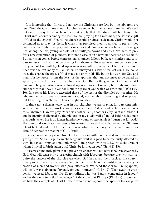It is interesting that Christ did not say the Christians are few, but the labourers are few. Often the Christians in our churches are many, but the labourers are few. We need not only to pray for more labourers, but surely that Christians will be changed by Christ into labourers among the lost. We are praying for a rare man, one who is a gift of God to the church. For, if the church could produce such men, Christ would not command us to pray for them. If Christ has promised them in answer to prayer, they will come. Yet only if we pray will evangelists and church members be sent to evangelize among the lost, young and old, of our villages, towns and cities. We need to pray for a new generation of pioneers. Is it not a case of "Ye have not because ye ask not"? But, as vision comes before compassion, so prayer follows both. A visionless and compassionless church will not be praying for labourers. However, when we begin to pray, the grace of God will lay hold upon men who will do the work of ten men or more. Such was the testimony of Paul when he surveyed his labour for lost souls. He could trace the change the grace of God made not only in his life but in his work for God and man. For he wrote, "I am the least of the apostles, that am not meet to be called an apostle, because I persecuted the church of God. But by the grace of God I am what I am; and His grace which was bestowed upon me was not in vain; but I laboured more abundantly than they all: yet not I, but the grace of God which was with me" (1Co 15:9- 10). In a sense his labours exceeded those of the rest of the disciples put together! He laboured across different continents for God, not merely in preaching and in prayer, but labouring from "house to house" night and day.

Is there not a danger today that in our churches we are praying for part-time missionaries, ministers and workers on short-term service? When did we last hear a prayer for a labourer? Dare we pray, "Send us another Paul, another Carey, another Studd"? I am frequently challenged by the picture on my study wall of an old bald-headed man in a bush jacket. He is no longer handsome, young or strong. He is "burnt out for God." His immortal words written beside his worn-out mortal body challenge me: "If Jesus Christ be God and died for me, then no sacrifice can be too great for me to make for Him." Such was the maxim of C. T. Studd.

Such men when they come from God will labour with Pauline zeal and like a woman giving birth. So Paul again can challenge us: "But it is good to be zealously affected always in a good thing, and not only when I am present with you. My little children, of whom I travail in birth again until Christ be formed in you" (Gal 4:18-19).

It seems abundantly plain that a prayerless church will not have labourers given it by God. God will trust only a prayerful church with labourers, because they will still require the prayers of the church even when God has given them back to the church. Surely we will never see a new generation of effective labourers until we see a new generation of men and women who pray effectively. We need those who, like Epaphras, will be "always labouring fervently for you in prayers" (Col 4:12). Then again in evangelism we need labourers like Epaphroditus, who was Paul's "companion in labour" and at the same time the "messenger" of the church at Philippi (Phi 2:25). Supremely we have the example of Christ Himself, who did not appoint the apostles to evangelize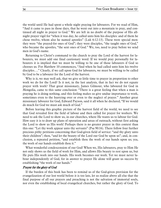the world until He had spent a whole night praying for labourers. For we read of Him, "And it came to pass in those days, that he went out into a mountain to pray, and continued all night in prayer to God." We are left in no doubt of the purpose of His allnight prayer vigil for "when it was day, he called unto him his disciples: and of them he chose twelve, whom also he named apostles" (Luk 6:12-13). These were special men: they were "the prayed-for ones of God"; they were disciples, "the taught ones of God," who became the apostles, "the sent ones of God." We, too, need to pray before we send men in God's name.

Returning to Christ's command to the church to pray the Lord of the harvest for labourers, we must add one final cautionary word. If we would pray personally for labourers it is implied that we must be willing to be one of those labourers if God so chooses us. For Matthew 10 commences, "And when he had called unto him his twelve disciples…." Clearly, if we call upon God for labourers, we must be willing to be called by God to be a labourer for the Lord of the harvest.

Why is it, we may well ask, that we give so little time to prayer in proportion to other work we do for the Lord? Is it not, in the last analysis, that in fact we do not equate prayer with work? That great missionary, James Gilmour, who laboured for God in Mongolia, came to this same conclusion: "There is a great feeling that when a man is praying he is doing nothing, and this feeling makes us give undue importance to work, sometimes even to the hurrying over or even to the neglect of prayer." Another great missionary labourer for God, Edward Payson, said it all when he declared, "If we would do much for God we must ask much of God."

Before leaving this graphic picture of the harvest field of the world, we need to see that God revealed first the field of labour and then called for prayer for workers. We need to ask the Lord to show us, in our churches, where He wants us to labour for God. How easy it is to draw up plans of operation and areas of outreach, without first asking the Lord to show us His work! Perhaps there is no greater prayer in this context than this one: "Let thy work appear unto thy servants" (Psa 90:16). There follow four further precious pithy petitions concerning that God-given field of service: "and thy glory unto their children"; then, "and let the beauty of the Lord our God be upon us"; and, in conclusion, a repeated petition, "and establish thou the work of our hands upon us; yea, the work of our hands establish thou it."

What wonderful condescension of our God! When we, His labourers, pray to Him He not only shows us the field of work for Him, and allows His beauty to rest upon us, but He puts His work into our hands. His work becomes our work. Yet we must never labour independently of God, for in answer to prayer He alone will grant us success by establishing "the work of our hands."

#### Prayer for the glory of God

If the burden of this book has been to remind us of the God-given provision for the evangelization of our lost world before it is too late, let us realize above all else that the final purpose of all our prayers and preaching is not the salvation of immortal souls, nor even the establishing of local evangelical churches, but rather the glory of God. To